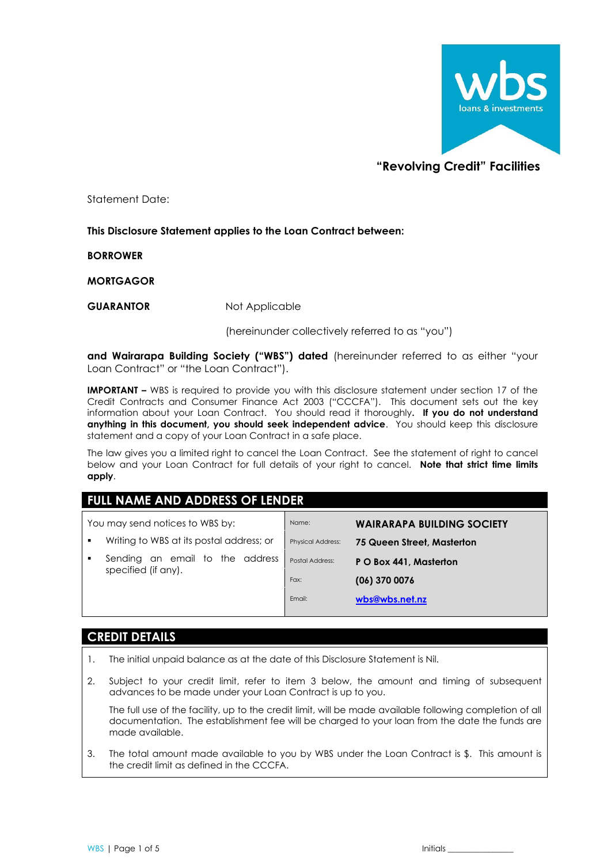

# **"Revolving Credit" Facilities**

Statement Date:

### **This Disclosure Statement applies to the Loan Contract between:**

**BORROWER**

**MORTGAGOR**

**GUARANTOR** Not Applicable

(hereinunder collectively referred to as "you")

**and Wairarapa Building Society ("WBS") dated** (hereinunder referred to as either "your Loan Contract" or "the Loan Contract").

**IMPORTANT -** WBS is required to provide you with this disclosure statement under section 17 of the Credit Contracts and Consumer Finance Act 2003 ("CCCFA"). This document sets out the key information about your Loan Contract. You should read it thoroughly**. If you do not understand anything in this document, you should seek independent advice**. You should keep this disclosure statement and a copy of your Loan Contract in a safe place.

The law gives you a limited right to cancel the Loan Contract. See the statement of right to cancel below and your Loan Contract for full details of your right to cancel. **Note that strict time limits apply**.

# **FULL NAME AND ADDRESS OF LENDER**

| Name:                    | <b>WAIRARAPA BUILDING SOCIETY</b> |
|--------------------------|-----------------------------------|
| <b>Physical Address:</b> | 75 Queen Street, Masterton        |
| Postal Address:          | P O Box 441, Masterton            |
| Fax:                     | $(06)$ 370 0076                   |
| Email:                   | wbs@wbs.net.nz                    |
|                          |                                   |

## **CREDIT DETAILS**

- 1. The initial unpaid balance as at the date of this Disclosure Statement is Nil.
- 2. Subject to your credit limit, refer to item 3 below, the amount and timing of subsequent advances to be made under your Loan Contract is up to you.

The full use of the facility, up to the credit limit, will be made available following completion of all documentation. The establishment fee will be charged to your loan from the date the funds are made available.

3. The total amount made available to you by WBS under the Loan Contract is \$. This amount is the credit limit as defined in the CCCFA.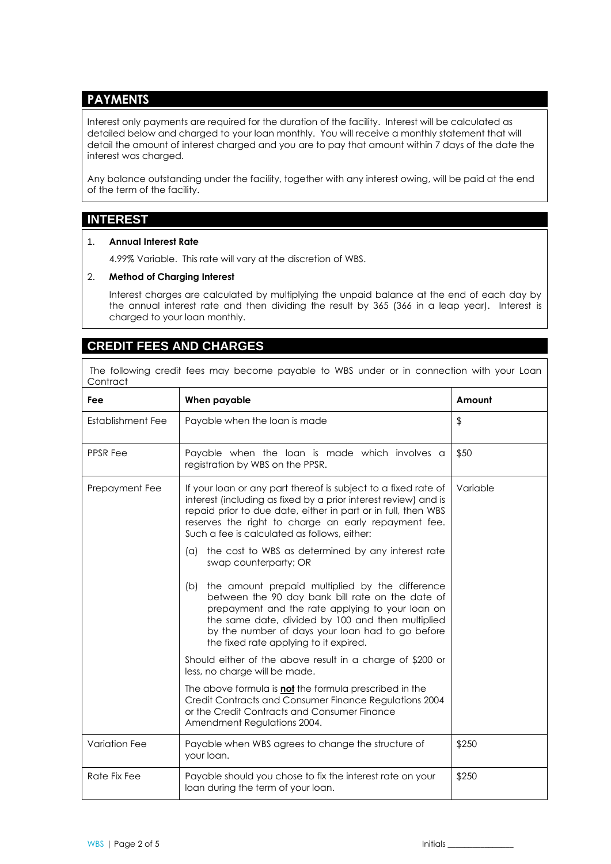# **PAYMENTS**

Interest only payments are required for the duration of the facility. Interest will be calculated as detailed below and charged to your loan monthly. You will receive a monthly statement that will detail the amount of interest charged and you are to pay that amount within 7 days of the date the interest was charged.

Any balance outstanding under the facility, together with any interest owing, will be paid at the end of the term of the facility.

### **INTEREST**

#### 1. **Annual Interest Rate**

4.99% Variable. This rate will vary at the discretion of WBS.

#### 2. **Method of Charging Interest**

Interest charges are calculated by multiplying the unpaid balance at the end of each day by the annual interest rate and then dividing the result by 365 (366 in a leap year). Interest is charged to your loan monthly.

## **CREDIT FEES AND CHARGES**

The following credit fees may become payable to WBS under or in connection with your Loan **Contract** 

| Fee                  | When payable                                                                                                                                                                                                                                                                                                      | Amount   |
|----------------------|-------------------------------------------------------------------------------------------------------------------------------------------------------------------------------------------------------------------------------------------------------------------------------------------------------------------|----------|
| Establishment Fee    | Payable when the loan is made                                                                                                                                                                                                                                                                                     | \$       |
| <b>PPSR Fee</b>      | Payable when the loan is made which involves a<br>registration by WBS on the PPSR.                                                                                                                                                                                                                                | \$50     |
| Prepayment Fee       | If your loan or any part thereof is subject to a fixed rate of<br>interest (including as fixed by a prior interest review) and is<br>repaid prior to due date, either in part or in full, then WBS<br>reserves the right to charge an early repayment fee.<br>Such a fee is calculated as follows, either:        | Variable |
|                      | the cost to WBS as determined by any interest rate<br>(a)<br>swap counterparty; OR                                                                                                                                                                                                                                |          |
|                      | the amount prepaid multiplied by the difference<br>(b)<br>between the 90 day bank bill rate on the date of<br>prepayment and the rate applying to your loan on<br>the same date, divided by 100 and then multiplied<br>by the number of days your loan had to go before<br>the fixed rate applying to it expired. |          |
|                      | Should either of the above result in a charge of \$200 or<br>less, no charge will be made.                                                                                                                                                                                                                        |          |
|                      | The above formula is not the formula prescribed in the<br>Credit Contracts and Consumer Finance Regulations 2004<br>or the Credit Contracts and Consumer Finance<br>Amendment Regulations 2004.                                                                                                                   |          |
| <b>Variation Fee</b> | Payable when WBS agrees to change the structure of<br>your loan.                                                                                                                                                                                                                                                  | \$250    |
| Rate Fix Fee         | Payable should you chose to fix the interest rate on your<br>loan during the term of your loan.                                                                                                                                                                                                                   | \$250    |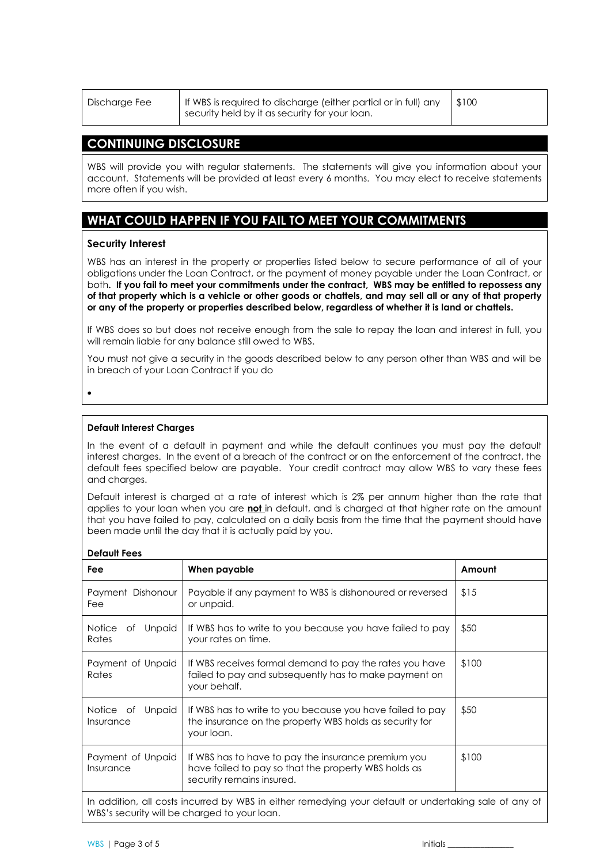| If WBS is required to discharge (either partial or in full) any<br>\$100<br>Discharge Fee<br>security held by it as security for your loan. |  |
|---------------------------------------------------------------------------------------------------------------------------------------------|--|
|---------------------------------------------------------------------------------------------------------------------------------------------|--|

### **CONTINUING DISCLOSURE**

WBS will provide you with regular statements. The statements will give you information about your account. Statements will be provided at least every 6 months. You may elect to receive statements more often if you wish.

# **WHAT COULD HAPPEN IF YOU FAIL TO MEET YOUR COMMITMENTS**

#### **Security Interest**

WBS has an interest in the property or properties listed below to secure performance of all of your obligations under the Loan Contract, or the payment of money payable under the Loan Contract, or both**. If you fail to meet your commitments under the contract, WBS may be entitled to repossess any of that property which is a vehicle or other goods or chattels, and may sell all or any of that property or any of the property or properties described below, regardless of whether it is land or chattels.** 

If WBS does so but does not receive enough from the sale to repay the loan and interest in full, you will remain liable for any balance still owed to WBS.

You must not give a security in the goods described below to any person other than WBS and will be in breach of your Loan Contract if you do

•

#### **Default Interest Charges**

In the event of a default in payment and while the default continues you must pay the default interest charges. In the event of a breach of the contract or on the enforcement of the contract, the default fees specified below are payable. Your credit contract may allow WBS to vary these fees and charges.

Default interest is charged at a rate of interest which is 2% per annum higher than the rate that applies to your loan when you are **not** in default, and is charged at that higher rate on the amount that you have failed to pay, calculated on a daily basis from the time that the payment should have been made until the day that it is actually paid by you.

| REIUNII I GES                                                                                                                                         |                                                                                                                                          |        |  |  |
|-------------------------------------------------------------------------------------------------------------------------------------------------------|------------------------------------------------------------------------------------------------------------------------------------------|--------|--|--|
| Fee                                                                                                                                                   | When payable                                                                                                                             | Amount |  |  |
| Payment Dishonour<br>Fee                                                                                                                              | Payable if any payment to WBS is dishonoured or reversed<br>or unpaid.                                                                   | \$15   |  |  |
| <b>Notice</b><br><b>Unpaid</b><br>Оf<br>Rates                                                                                                         | If WBS has to write to you because you have failed to pay<br>your rates on time.                                                         | \$50   |  |  |
| Payment of Unpaid<br>Rates                                                                                                                            | If WBS receives formal demand to pay the rates you have<br>failed to pay and subsequently has to make payment on<br>your behalf.         | \$100  |  |  |
| <b>Unpaid</b><br>Notice of<br>Insurance                                                                                                               | If WBS has to write to you because you have failed to pay<br>the insurance on the property WBS holds as security for<br>your loan.       | \$50   |  |  |
| Payment of Unpaid<br>Insurance                                                                                                                        | If WBS has to have to pay the insurance premium you<br>have failed to pay so that the property WBS holds as<br>security remains insured. | \$100  |  |  |
| In addition, all costs incurred by WBS in either remedying your default or undertaking sale of any of<br>WBS's security will be charged to your loan. |                                                                                                                                          |        |  |  |

#### **Default Fees**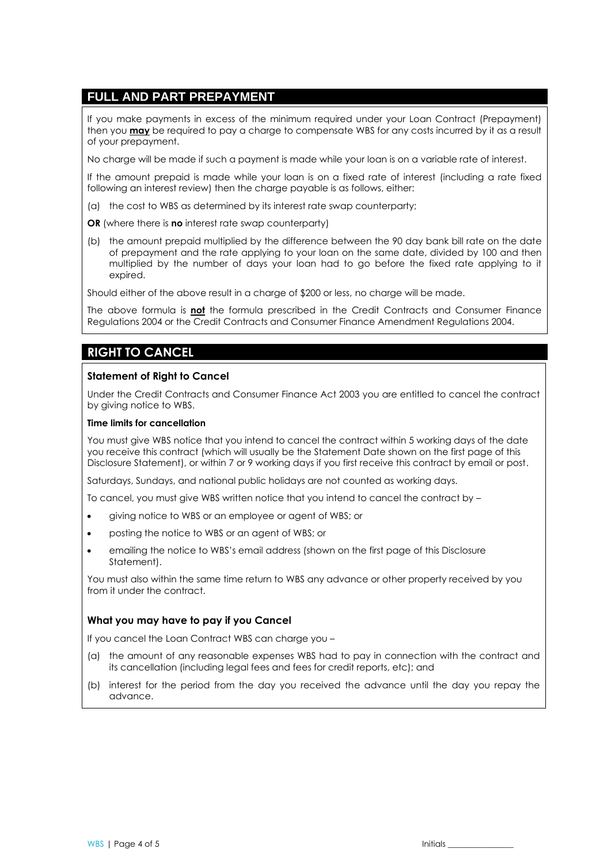## **FULL AND PART PREPAYMENT**

If you make payments in excess of the minimum required under your Loan Contract (Prepayment) then you **may** be required to pay a charge to compensate WBS for any costs incurred by it as a result of your prepayment.

No charge will be made if such a payment is made while your loan is on a variable rate of interest.

If the amount prepaid is made while your loan is on a fixed rate of interest (including a rate fixed following an interest review) then the charge payable is as follows, either:

- (a) the cost to WBS as determined by its interest rate swap counterparty;
- **OR** (where there is **no** interest rate swap counterparty)
- (b) the amount prepaid multiplied by the difference between the 90 day bank bill rate on the date of prepayment and the rate applying to your loan on the same date, divided by 100 and then multiplied by the number of days your loan had to go before the fixed rate applying to it expired.

Should either of the above result in a charge of \$200 or less, no charge will be made.

The above formula is **not** the formula prescribed in the Credit Contracts and Consumer Finance Regulations 2004 or the Credit Contracts and Consumer Finance Amendment Regulations 2004.

## **RIGHT TO CANCEL**

#### **Statement of Right to Cancel**

Under the Credit Contracts and Consumer Finance Act 2003 you are entitled to cancel the contract by giving notice to WBS.

#### **Time limits for cancellation**

You must give WBS notice that you intend to cancel the contract within 5 working days of the date you receive this contract (which will usually be the Statement Date shown on the first page of this Disclosure Statement), or within 7 or 9 working days if you first receive this contract by email or post.

Saturdays, Sundays, and national public holidays are not counted as working days.

To cancel, you must give WBS written notice that you intend to cancel the contract by –

- giving notice to WBS or an employee or agent of WBS; or
- posting the notice to WBS or an agent of WBS; or
- emailing the notice to WBS's email address (shown on the first page of this Disclosure Statement).

You must also within the same time return to WBS any advance or other property received by you from it under the contract.

#### **What you may have to pay if you Cancel**

If you cancel the Loan Contract WBS can charge you –

- (a) the amount of any reasonable expenses WBS had to pay in connection with the contract and its cancellation (including legal fees and fees for credit reports, etc); and
- (b) interest for the period from the day you received the advance until the day you repay the advance.